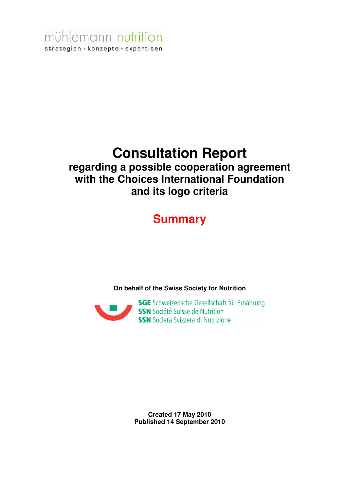mühlemann nutrition strategien • konzepte • expertisen

## **Consultation Report**

## **regarding a possible cooperation agreement with the Choices International Foundation and its logo criteria**

## **Summary**

**On behalf of the Swiss Society for Nutrition** 



**Created 17 May 2010 Published 14 September 2010**